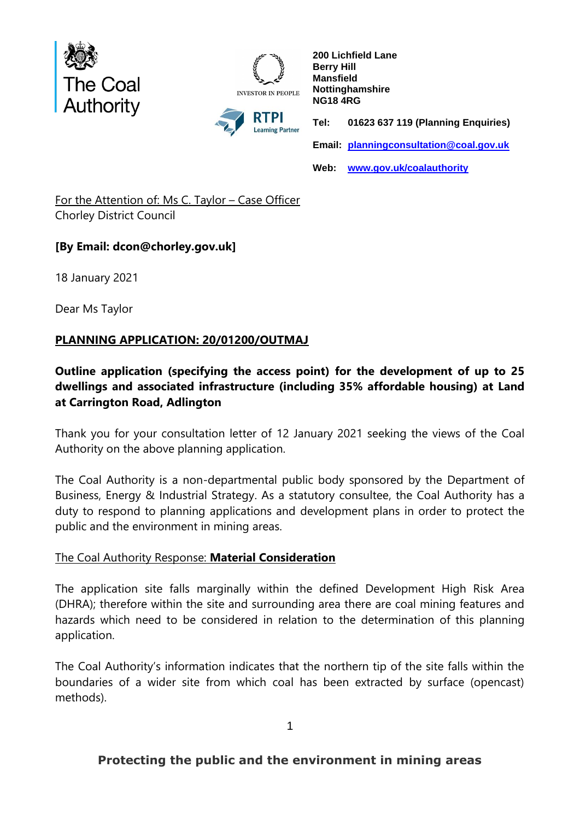

**INVESTOR IN PEOPLE** RTPI **Learning Partner** 

**200 Lichfield Lane Berry Hill Mansfield Nottinghamshire NG18 4RG Tel: 01623 637 119 (Planning Enquiries) Email: [planningconsultation@coal.gov.uk](mailto:planningconsultation@coal.gov.uk) Web: [www.gov.uk/coalauthority](http://www.gov.uk/coalauthority)**

For the Attention of: Ms C. Taylor – Case Officer Chorley District Council

## **[By Email: dcon@chorley.gov.uk]**

18 January 2021

Dear Ms Taylor

# **PLANNING APPLICATION: 20/01200/OUTMAJ**

## **Outline application (specifying the access point) for the development of up to 25 dwellings and associated infrastructure (including 35% affordable housing) at Land at Carrington Road, Adlington**

Thank you for your consultation letter of 12 January 2021 seeking the views of the Coal Authority on the above planning application.

The Coal Authority is a non-departmental public body sponsored by the Department of Business, Energy & Industrial Strategy. As a statutory consultee, the Coal Authority has a duty to respond to planning applications and development plans in order to protect the public and the environment in mining areas.

## The Coal Authority Response: **Material Consideration**

The application site falls marginally within the defined Development High Risk Area (DHRA); therefore within the site and surrounding area there are coal mining features and hazards which need to be considered in relation to the determination of this planning application.

The Coal Authority's information indicates that the northern tip of the site falls within the boundaries of a wider site from which coal has been extracted by surface (opencast) methods).

1

# **Protecting the public and the environment in mining areas**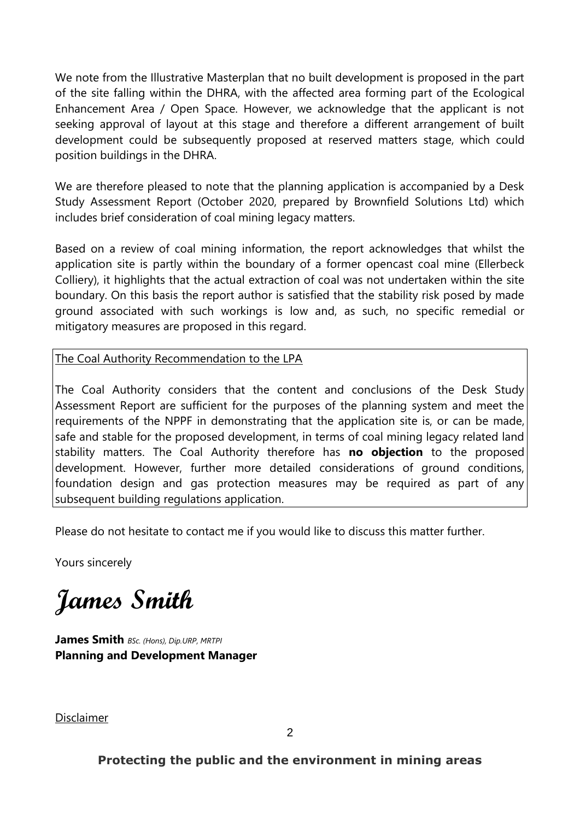We note from the Illustrative Masterplan that no built development is proposed in the part of the site falling within the DHRA, with the affected area forming part of the Ecological Enhancement Area / Open Space. However, we acknowledge that the applicant is not seeking approval of layout at this stage and therefore a different arrangement of built development could be subsequently proposed at reserved matters stage, which could position buildings in the DHRA.

We are therefore pleased to note that the planning application is accompanied by a Desk Study Assessment Report (October 2020, prepared by Brownfield Solutions Ltd) which includes brief consideration of coal mining legacy matters.

Based on a review of coal mining information, the report acknowledges that whilst the application site is partly within the boundary of a former opencast coal mine (Ellerbeck Colliery), it highlights that the actual extraction of coal was not undertaken within the site boundary. On this basis the report author is satisfied that the stability risk posed by made ground associated with such workings is low and, as such, no specific remedial or mitigatory measures are proposed in this regard.

The Coal Authority Recommendation to the LPA

The Coal Authority considers that the content and conclusions of the Desk Study Assessment Report are sufficient for the purposes of the planning system and meet the requirements of the NPPF in demonstrating that the application site is, or can be made, safe and stable for the proposed development, in terms of coal mining legacy related land stability matters. The Coal Authority therefore has **no objection** to the proposed development. However, further more detailed considerations of ground conditions, foundation design and gas protection measures may be required as part of any subsequent building regulations application.

Please do not hesitate to contact me if you would like to discuss this matter further.

Yours sincerely

**James Smith**

**James Smith** *BSc. (Hons), Dip.URP, MRTPI* **Planning and Development Manager**

Disclaimer

**Protecting the public and the environment in mining areas**